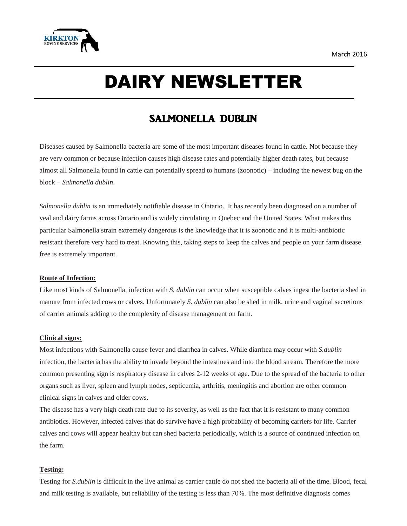

# DAIRY NEWSLETTER

# SALMONELLA DUBLIN

Diseases caused by Salmonella bacteria are some of the most important diseases found in cattle. Not because they are very common or because infection causes high disease rates and potentially higher death rates, but because almost all Salmonella found in cattle can potentially spread to humans (zoonotic) – including the newest bug on the block – *Salmonella dublin*.

*Salmonella dublin* is an immediately notifiable disease in Ontario. It has recently been diagnosed on a number of veal and dairy farms across Ontario and is widely circulating in Quebec and the United States. What makes this particular Salmonella strain extremely dangerous is the knowledge that it is zoonotic and it is multi-antibiotic resistant therefore very hard to treat. Knowing this, taking steps to keep the calves and people on your farm disease free is extremely important.

## **Route of Infection:**

Like most kinds of Salmonella, infection with *S. dublin* can occur when susceptible calves ingest the bacteria shed in manure from infected cows or calves. Unfortunately *S. dublin* can also be shed in milk, urine and vaginal secretions of carrier animals adding to the complexity of disease management on farm.

# **Clinical signs:**

Most infections with Salmonella cause fever and diarrhea in calves. While diarrhea may occur with *S.dublin* infection, the bacteria has the ability to invade beyond the intestines and into the blood stream. Therefore the more common presenting sign is respiratory disease in calves 2-12 weeks of age. Due to the spread of the bacteria to other organs such as liver, spleen and lymph nodes, septicemia, arthritis, meningitis and abortion are other common clinical signs in calves and older cows.

The disease has a very high death rate due to its severity, as well as the fact that it is resistant to many common antibiotics. However, infected calves that do survive have a high probability of becoming carriers for life. Carrier calves and cows will appear healthy but can shed bacteria periodically, which is a source of continued infection on the farm.

## **Testing:**

Testing for *S.dublin* is difficult in the live animal as carrier cattle do not shed the bacteria all of the time. Blood, fecal and milk testing is available, but reliability of the testing is less than 70%. The most definitive diagnosis comes